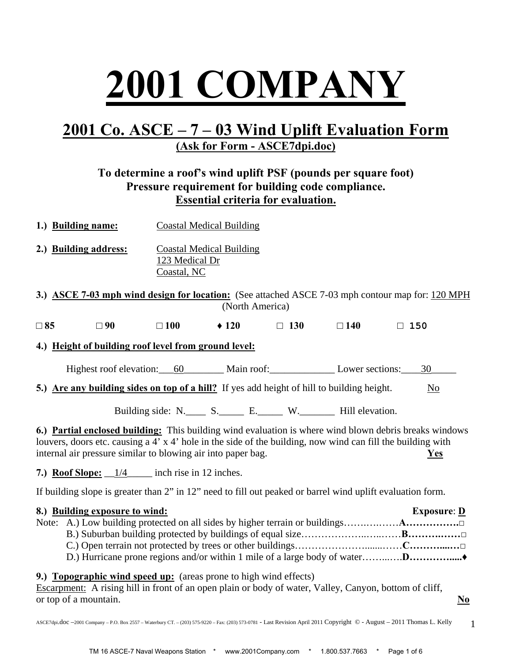# **2001 COMPANY**

## **2001 Co. ASCE – 7 – 03 Wind Uplift Evaluation Form (Ask for Form - ASCE7dpi.doc)**

#### **To determine a roof's wind uplift PSF (pounds per square foot) Pressure requirement for building code compliance. Essential criteria for evaluation.**

- **1.) Building name:** Coastal Medical Building
- **2.) Building address:** Coastal Medical Building 123 Medical Dr Coastal, NC

**3.) ASCE 7-03 mph wind design for location:** (See attached ASCE 7-03 mph contour map for: 120 MPH (North America)

**□ 85 □ 90 □ 100 ♦ 120 □ 130 □ 140 □ 150**

**4.) Height of building roof level from ground level:**

Highest roof elevation: 60 Main roof: Lower sections: 30

**5.)** Are any building sides on top of a hill? If yes add height of hill to building height. No

Building side: N. S. E. W. Hill elevation.

**6.) Partial enclosed building:** This building wind evaluation is where wind blown debris breaks windows louvers, doors etc. causing a 4' x 4' hole in the side of the building, now wind can fill the building with internal air pressure similar to blowing air into paper bag. **Yes**

**7.)** Roof Slope:  $\frac{1}{4}$  inch rise in 12 inches.

If building slope is greater than 2" in 12" need to fill out peaked or barrel wind uplift evaluation form.

| 8.) Building exposure to wind: | <b>Exposure: <math>\underline{\mathbf{D}}</math></b> |
|--------------------------------|------------------------------------------------------|
|                                |                                                      |
|                                |                                                      |
|                                |                                                      |
|                                |                                                      |
|                                |                                                      |

**9.) Topographic wind speed up:** (areas prone to high wind effects)

Escarpment: A rising hill in front of an open plain or body of water, Valley, Canyon, bottom of cliff, or top of a mountain. **No**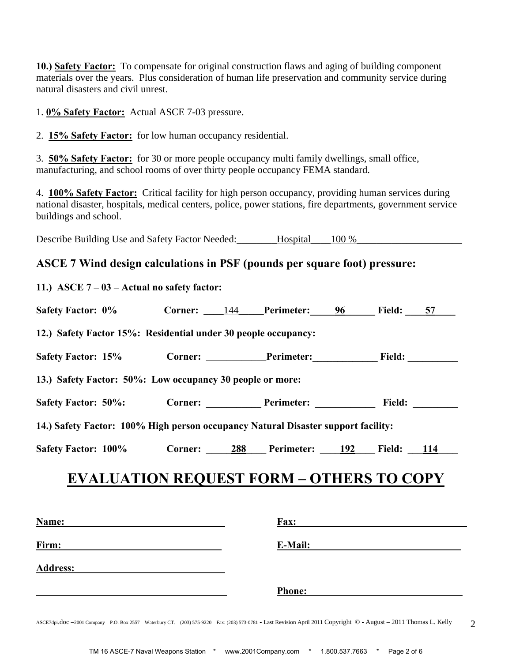**10.) Safety Factor:** To compensate for original construction flaws and aging of building component materials over the years. Plus consideration of human life preservation and community service during natural disasters and civil unrest.

1. **0% Safety Factor:** Actual ASCE 7-03 pressure.

2. **15% Safety Factor:** for low human occupancy residential.

3. **50% Safety Factor:** for 30 or more people occupancy multi family dwellings, small office, manufacturing, and school rooms of over thirty people occupancy FEMA standard.

4. **100% Safety Factor:** Critical facility for high person occupancy, providing human services during national disaster, hospitals, medical centers, police, power stations, fire departments, government service buildings and school.

Describe Building Use and Safety Factor Needed: Hospital 100 %

#### **ASCE 7 Wind design calculations in PSF (pounds per square foot) pressure:**

| 11.) ASCE $7 - 03$ – Actual no safety factor:                                     |  |                                                           |                        |  |
|-----------------------------------------------------------------------------------|--|-----------------------------------------------------------|------------------------|--|
| Safety Factor: 0% Corner: 144 Perimeter: 96 Field: 57                             |  |                                                           |                        |  |
| 12.) Safety Factor 15%: Residential under 30 people occupancy:                    |  |                                                           |                        |  |
| Safety Factor: 15% Corner: ________Perimeter: Field: Field:                       |  |                                                           |                        |  |
| 13.) Safety Factor: 50%: Low occupancy 30 people or more:                         |  |                                                           |                        |  |
| Safety Factor: 50%: Corner: Perimeter: Perimeter:                                 |  |                                                           | Field: $\qquad \qquad$ |  |
| 14.) Safety Factor: 100% High person occupancy Natural Disaster support facility: |  |                                                           |                        |  |
|                                                                                   |  | Safety Factor: 100% Corner: 288 Perimeter: 192 Field: 114 |                        |  |

| Name:           | Fax:          |
|-----------------|---------------|
| Firm:           | E-Mail:       |
| <b>Address:</b> |               |
|                 | <b>Phone:</b> |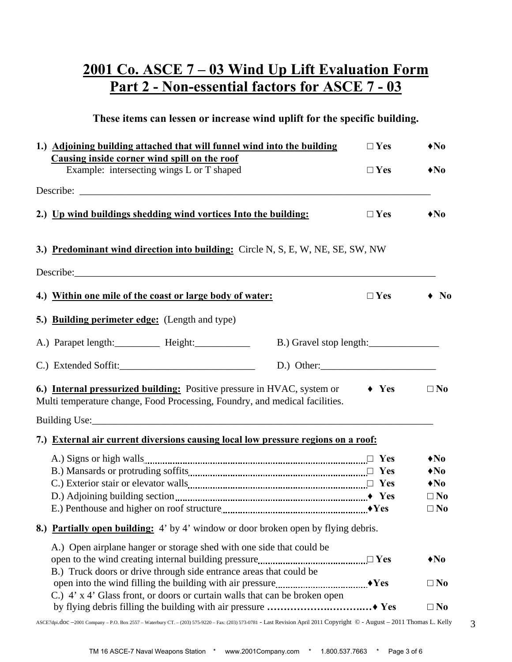## **2001 Co. ASCE 7 – 03 Wind Up Lift Evaluation Form Part 2 - Non-essential factors for ASCE 7 - 03**

**These items can lessen or increase wind uplift for the specific building.** 

| 1.) Adjoining building attached that will funnel wind into the building<br>Causing inside corner wind spill on the roof                                                                                                                   | $\Box$ Yes    | $\triangle$ No               |
|-------------------------------------------------------------------------------------------------------------------------------------------------------------------------------------------------------------------------------------------|---------------|------------------------------|
| Example: intersecting wings L or T shaped                                                                                                                                                                                                 | $\Box$ Yes    | $\bigtriangleup$ No          |
|                                                                                                                                                                                                                                           |               |                              |
| 2.) Up wind buildings shedding wind vortices Into the building:                                                                                                                                                                           | $\Box$ Yes    | $\bigtriangleup$ No          |
| 3.) Predominant wind direction into building: Circle N, S, E, W, NE, SE, SW, NW                                                                                                                                                           |               |                              |
|                                                                                                                                                                                                                                           |               |                              |
| 4.) Within one mile of the coast or large body of water:                                                                                                                                                                                  | $\Box$ Yes    | $\bullet$ No                 |
| 5.) Building perimeter edge: (Length and type)                                                                                                                                                                                            |               |                              |
| A.) Parapet length: Height: Height: B.) Gravel stop length:                                                                                                                                                                               |               |                              |
|                                                                                                                                                                                                                                           | $D.$ ) Other: |                              |
| 6.) Internal pressurized building: Positive pressure in HVAC, system or $\rightarrow$ Yes<br>Multi temperature change, Food Processing, Foundry, and medical facilities.                                                                  |               | $\square$ No                 |
|                                                                                                                                                                                                                                           |               |                              |
| 7.) External air current diversions causing local low pressure regions on a roof:                                                                                                                                                         |               |                              |
|                                                                                                                                                                                                                                           |               | $\triangle$ No               |
|                                                                                                                                                                                                                                           |               | $\bigstar$ No                |
|                                                                                                                                                                                                                                           |               | $\bigtriangleup$ No          |
|                                                                                                                                                                                                                                           |               | $\square$ No<br>$\square$ No |
|                                                                                                                                                                                                                                           |               |                              |
| 8.) Partially open building: 4' by 4' window or door broken open by flying debris.                                                                                                                                                        |               |                              |
| A.) Open airplane hanger or storage shed with one side that could be<br>open to the wind creating internal building pressure <i>manual manual manual</i> $\Box$ Yes<br>B.) Truck doors or drive through side entrance areas that could be |               | $\blacklozenge$ No           |
| C.) 4' x 4' Glass front, or doors or curtain walls that can be broken open                                                                                                                                                                |               | $\square$ No                 |
|                                                                                                                                                                                                                                           |               | $\square$ No                 |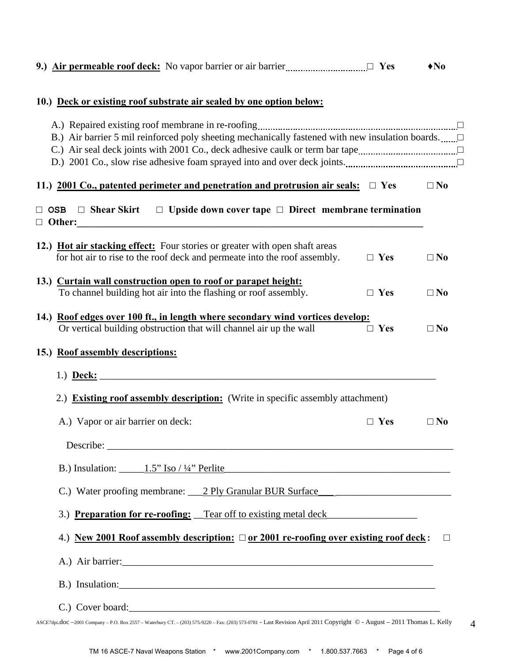|  |  | 9.) Air permeable roof deck: No vapor barrier or air barrier<br>$\ldots$ Yes |  | $\bigstar$ No |
|--|--|------------------------------------------------------------------------------|--|---------------|
|--|--|------------------------------------------------------------------------------|--|---------------|

#### **10.) Deck or existing roof substrate air sealed by one option below:**

| B.) Air barrier 5 mil reinforced poly sheeting mechanically fastened with new insulation boards                                                          |            |              |
|----------------------------------------------------------------------------------------------------------------------------------------------------------|------------|--------------|
| 11.) 2001 Co., patented perimeter and penetration and protrusion air seals: $\Box$ Yes                                                                   |            | $\square$ No |
| $\Box$ OSB $\Box$ Shear Skirt $\Box$ Upside down cover tape $\Box$ Direct membrane termination                                                           |            |              |
| 12.) Hot air stacking effect: Four stories or greater with open shaft areas<br>for hot air to rise to the roof deck and permeate into the roof assembly. | $\Box$ Yes | $\square$ No |
| 13.) Curtain wall construction open to roof or parapet height:<br>To channel building hot air into the flashing or roof assembly.                        | $\Box$ Yes | $\square$ No |
| 14.) Roof edges over 100 ft., in length where secondary wind vortices develop:<br>Or vertical building obstruction that will channel air up the wall     | $\Box$ Yes | $\square$ No |
| 15.) Roof assembly descriptions:                                                                                                                         |            |              |
| 2.) Existing roof assembly description: (Write in specific assembly attachment)<br>A.) Vapor or air barrier on deck:                                     | $\Box$ Yes | $\square$ No |
|                                                                                                                                                          |            |              |
| B.) Insulation: $1.5$ " Iso / 1/4" Perlite                                                                                                               |            |              |
| C.) Water proofing membrane: 2 Ply Granular BUR Surface                                                                                                  |            |              |
| 3.) Preparation for re-roofing: Tear off to existing metal deck                                                                                          |            |              |
| 4.) New 2001 Roof assembly description: $\Box$ or 2001 re-roofing over existing roof deck:                                                               |            | $\Box$       |
| A.) Air barrier:                                                                                                                                         |            |              |
| B.) Insulation:                                                                                                                                          |            |              |
| C.) Cover board:                                                                                                                                         |            |              |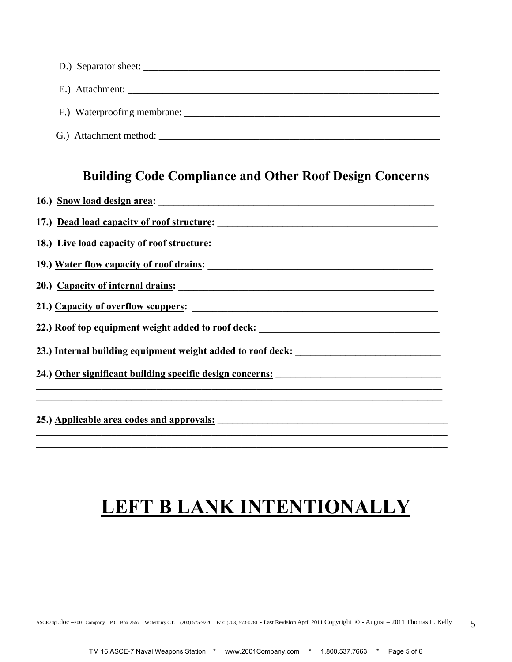| E.) Attachment:        |
|------------------------|
|                        |
| G.) Attachment method: |

### **Building Code Compliance and Other Roof Design Concerns**

| 16.) Snow load design area:                                                      |
|----------------------------------------------------------------------------------|
| 17.) Dead load capacity of roof structure:                                       |
|                                                                                  |
| 19.) Water flow capacity of roof drains:                                         |
| 20.) Capacity of internal drains:                                                |
|                                                                                  |
| 22.) Roof top equipment weight added to roof deck: _____________________________ |
| 23.) Internal building equipment weight added to roof deck: ____________________ |
|                                                                                  |
|                                                                                  |

# **LEFT B LANK INTENTIONALLY**

\_\_\_\_\_\_\_\_\_\_\_\_\_\_\_\_\_\_\_\_\_\_\_\_\_\_\_\_\_\_\_\_\_\_\_\_\_\_\_\_\_\_\_\_\_\_\_\_\_\_\_\_\_\_\_\_\_\_\_\_\_\_\_\_\_\_\_\_\_\_\_\_\_\_\_\_\_\_\_\_\_\_